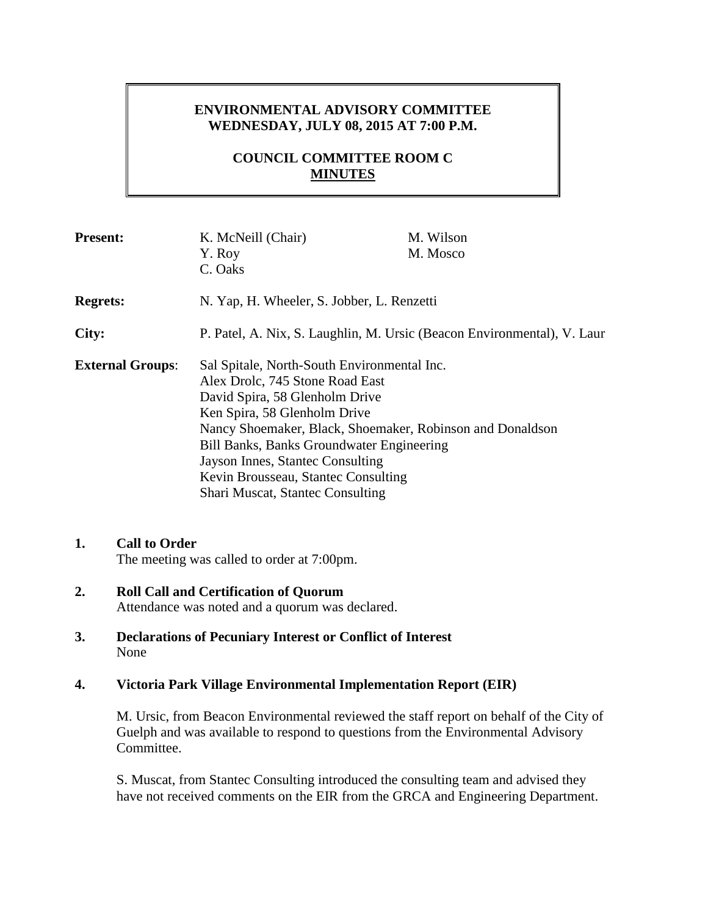# **ENVIRONMENTAL ADVISORY COMMITTEE WEDNESDAY, JULY 08, 2015 AT 7:00 P.M.**

# **COUNCIL COMMITTEE ROOM C MINUTES**

| <b>Present:</b>         | K. McNeill (Chair)                                                      | M. Wilson |
|-------------------------|-------------------------------------------------------------------------|-----------|
|                         | Y. Roy                                                                  | M. Mosco  |
|                         | C. Oaks                                                                 |           |
| <b>Regrets:</b>         | N. Yap, H. Wheeler, S. Jobber, L. Renzetti                              |           |
| City:                   | P. Patel, A. Nix, S. Laughlin, M. Ursic (Beacon Environmental), V. Laur |           |
| <b>External Groups:</b> | Sal Spitale, North-South Environmental Inc.                             |           |
|                         | Alex Drolc, 745 Stone Road East                                         |           |
|                         | David Spira, 58 Glenholm Drive                                          |           |
|                         | Ken Spira, 58 Glenholm Drive                                            |           |
|                         | Nancy Shoemaker, Black, Shoemaker, Robinson and Donaldson               |           |
|                         | Bill Banks, Banks Groundwater Engineering                               |           |
|                         | Jayson Innes, Stantec Consulting                                        |           |
|                         | Kevin Brousseau, Stantec Consulting                                     |           |
|                         | <b>Shari Muscat, Stantec Consulting</b>                                 |           |

#### **1. Call to Order** The meeting was called to order at 7:00pm.

- **2. Roll Call and Certification of Quorum** Attendance was noted and a quorum was declared.
- **3. Declarations of Pecuniary Interest or Conflict of Interest** None

### **4. Victoria Park Village Environmental Implementation Report (EIR)**

M. Ursic, from Beacon Environmental reviewed the staff report on behalf of the City of Guelph and was available to respond to questions from the Environmental Advisory Committee.

S. Muscat, from Stantec Consulting introduced the consulting team and advised they have not received comments on the EIR from the GRCA and Engineering Department.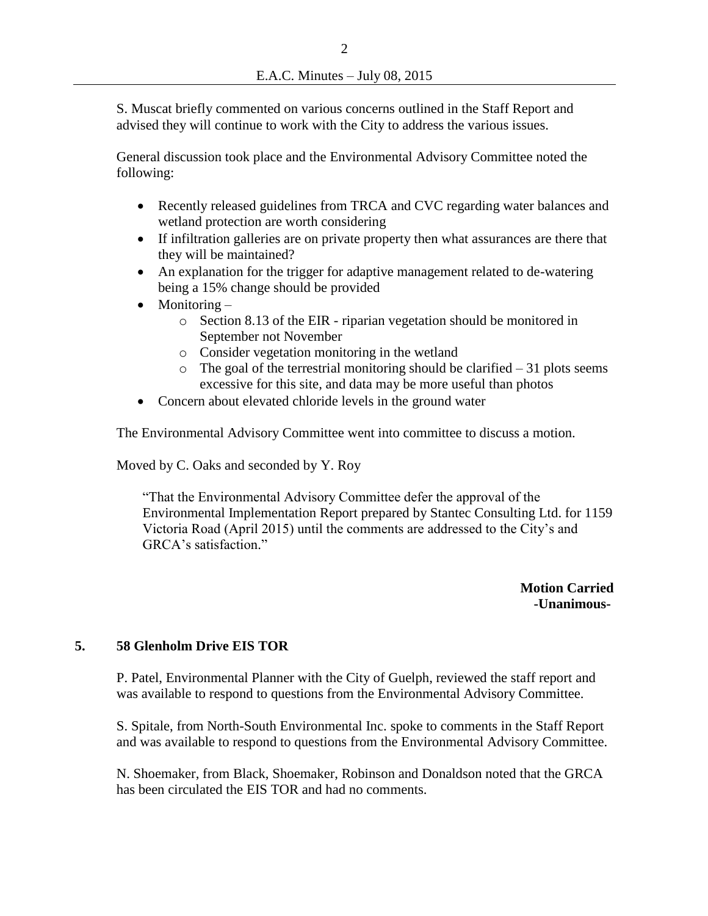S. Muscat briefly commented on various concerns outlined in the Staff Report and advised they will continue to work with the City to address the various issues.

General discussion took place and the Environmental Advisory Committee noted the following:

- Recently released guidelines from TRCA and CVC regarding water balances and wetland protection are worth considering
- If infiltration galleries are on private property then what assurances are there that they will be maintained?
- An explanation for the trigger for adaptive management related to de-watering being a 15% change should be provided
- Monitoring
	- o Section 8.13 of the EIR riparian vegetation should be monitored in September not November
	- o Consider vegetation monitoring in the wetland
	- $\circ$  The goal of the terrestrial monitoring should be clarified 31 plots seems excessive for this site, and data may be more useful than photos
- Concern about elevated chloride levels in the ground water

The Environmental Advisory Committee went into committee to discuss a motion.

Moved by C. Oaks and seconded by Y. Roy

"That the Environmental Advisory Committee defer the approval of the Environmental Implementation Report prepared by Stantec Consulting Ltd. for 1159 Victoria Road (April 2015) until the comments are addressed to the City's and GRCA's satisfaction."

> **Motion Carried -Unanimous-**

### **5. 58 Glenholm Drive EIS TOR**

P. Patel, Environmental Planner with the City of Guelph, reviewed the staff report and was available to respond to questions from the Environmental Advisory Committee.

S. Spitale, from North-South Environmental Inc. spoke to comments in the Staff Report and was available to respond to questions from the Environmental Advisory Committee.

N. Shoemaker, from Black, Shoemaker, Robinson and Donaldson noted that the GRCA has been circulated the EIS TOR and had no comments.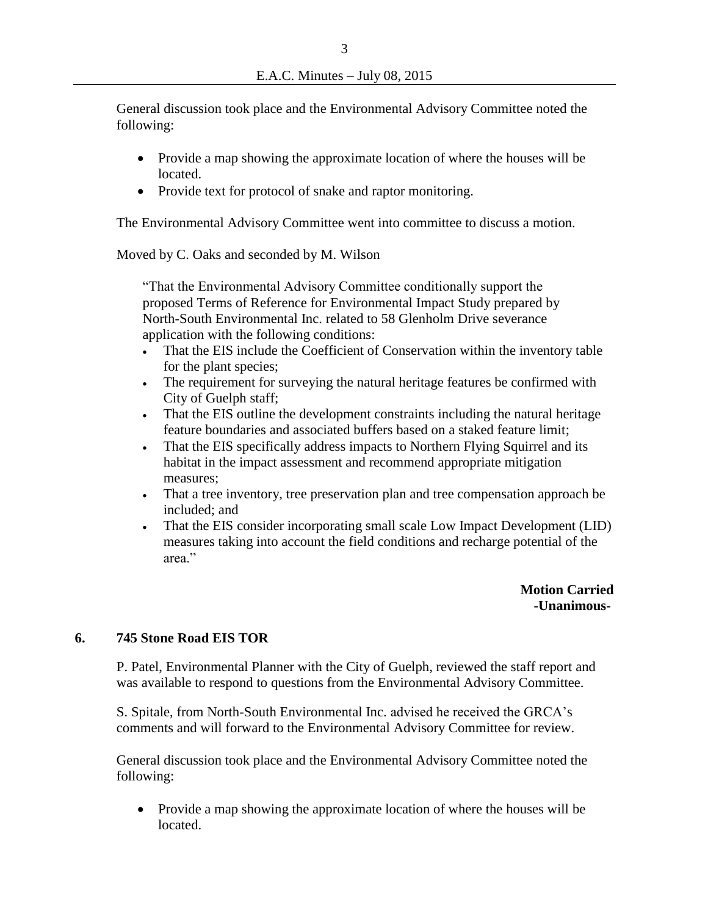General discussion took place and the Environmental Advisory Committee noted the following:

- Provide a map showing the approximate location of where the houses will be located.
- Provide text for protocol of snake and raptor monitoring.

The Environmental Advisory Committee went into committee to discuss a motion.

Moved by C. Oaks and seconded by M. Wilson

"That the Environmental Advisory Committee conditionally support the proposed Terms of Reference for Environmental Impact Study prepared by North-South Environmental Inc. related to 58 Glenholm Drive severance application with the following conditions:

- That the EIS include the Coefficient of Conservation within the inventory table for the plant species;
- The requirement for surveying the natural heritage features be confirmed with City of Guelph staff;
- That the EIS outline the development constraints including the natural heritage feature boundaries and associated buffers based on a staked feature limit;
- That the EIS specifically address impacts to Northern Flying Squirrel and its habitat in the impact assessment and recommend appropriate mitigation measures;
- That a tree inventory, tree preservation plan and tree compensation approach be included; and
- That the EIS consider incorporating small scale Low Impact Development (LID) measures taking into account the field conditions and recharge potential of the area."

 **Motion Carried -Unanimous-**

### **6. 745 Stone Road EIS TOR**

P. Patel, Environmental Planner with the City of Guelph, reviewed the staff report and was available to respond to questions from the Environmental Advisory Committee.

S. Spitale, from North-South Environmental Inc. advised he received the GRCA's comments and will forward to the Environmental Advisory Committee for review.

General discussion took place and the Environmental Advisory Committee noted the following:

• Provide a map showing the approximate location of where the houses will be located.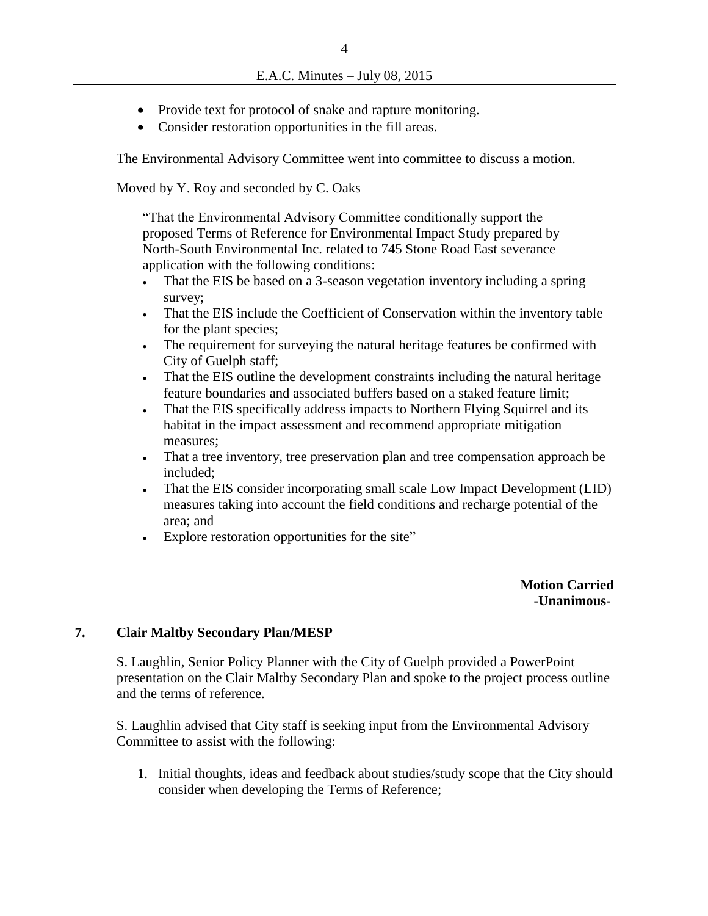- Provide text for protocol of snake and rapture monitoring.
- Consider restoration opportunities in the fill areas.

The Environmental Advisory Committee went into committee to discuss a motion.

Moved by Y. Roy and seconded by C. Oaks

"That the Environmental Advisory Committee conditionally support the proposed Terms of Reference for Environmental Impact Study prepared by North-South Environmental Inc. related to 745 Stone Road East severance application with the following conditions:

- That the EIS be based on a 3-season vegetation inventory including a spring survey;
- That the EIS include the Coefficient of Conservation within the inventory table for the plant species;
- The requirement for surveying the natural heritage features be confirmed with City of Guelph staff;
- That the EIS outline the development constraints including the natural heritage feature boundaries and associated buffers based on a staked feature limit;
- That the EIS specifically address impacts to Northern Flying Squirrel and its habitat in the impact assessment and recommend appropriate mitigation measures;
- That a tree inventory, tree preservation plan and tree compensation approach be included;
- That the EIS consider incorporating small scale Low Impact Development (LID) measures taking into account the field conditions and recharge potential of the area; and
- Explore restoration opportunities for the site"

**Motion Carried -Unanimous-**

#### **7. Clair Maltby Secondary Plan/MESP**

S. Laughlin, Senior Policy Planner with the City of Guelph provided a PowerPoint presentation on the Clair Maltby Secondary Plan and spoke to the project process outline and the terms of reference.

S. Laughlin advised that City staff is seeking input from the Environmental Advisory Committee to assist with the following:

1. Initial thoughts, ideas and feedback about studies/study scope that the City should consider when developing the Terms of Reference;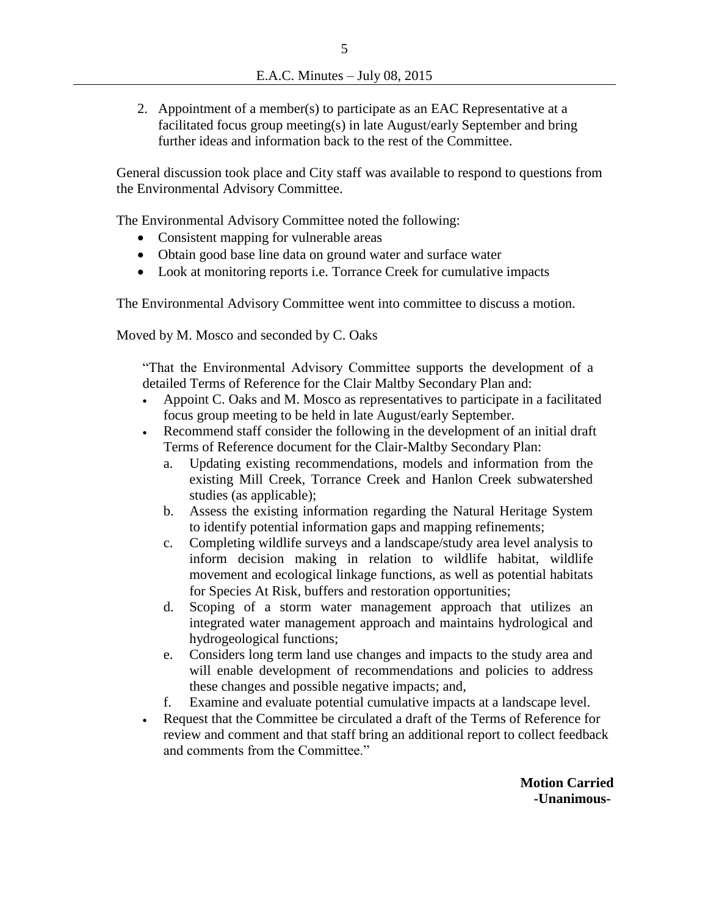2. Appointment of a member(s) to participate as an EAC Representative at a facilitated focus group meeting(s) in late August/early September and bring further ideas and information back to the rest of the Committee.

General discussion took place and City staff was available to respond to questions from the Environmental Advisory Committee.

The Environmental Advisory Committee noted the following:

- Consistent mapping for vulnerable areas
- Obtain good base line data on ground water and surface water
- Look at monitoring reports i.e. Torrance Creek for cumulative impacts

The Environmental Advisory Committee went into committee to discuss a motion.

Moved by M. Mosco and seconded by C. Oaks

"That the Environmental Advisory Committee supports the development of a detailed Terms of Reference for the Clair Maltby Secondary Plan and:

- Appoint C. Oaks and M. Mosco as representatives to participate in a facilitated focus group meeting to be held in late August/early September.
- Recommend staff consider the following in the development of an initial draft Terms of Reference document for the Clair-Maltby Secondary Plan:
	- a. Updating existing recommendations, models and information from the existing Mill Creek, Torrance Creek and Hanlon Creek subwatershed studies (as applicable);
	- b. Assess the existing information regarding the Natural Heritage System to identify potential information gaps and mapping refinements;
	- c. Completing wildlife surveys and a landscape/study area level analysis to inform decision making in relation to wildlife habitat, wildlife movement and ecological linkage functions, as well as potential habitats for Species At Risk, buffers and restoration opportunities;
	- d. Scoping of a storm water management approach that utilizes an integrated water management approach and maintains hydrological and hydrogeological functions;
	- e. Considers long term land use changes and impacts to the study area and will enable development of recommendations and policies to address these changes and possible negative impacts; and,
	- f. Examine and evaluate potential cumulative impacts at a landscape level.
- Request that the Committee be circulated a draft of the Terms of Reference for review and comment and that staff bring an additional report to collect feedback and comments from the Committee."

**Motion Carried -Unanimous-**